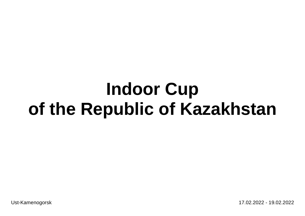Ust-Kamenogorsk 17.02.2022 - 19.02.2022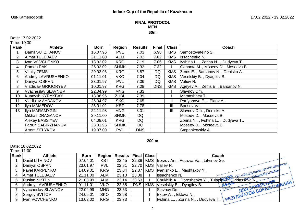## **FINAL PROTOCOL MEN 60m**

# Date: 17.02.2022

Time: 10:30

| Rank           | <b>Athlete</b>             | <b>Born</b> | Region      | <b>Results</b> | <b>Final</b> | <b>Class</b>   | Coach                              |
|----------------|----------------------------|-------------|-------------|----------------|--------------|----------------|------------------------------------|
|                | Damil SUTZHANOV            | 16.07.95    | <b>PVL</b>  | 7.03           | 6.98         | <b>KMS</b>     | Samostoyatelno S.                  |
| $\overline{2}$ | <b>Almat TULEBAEV</b>      | 21.11.00    | ALM         | 7.02           | 7.02         | <b>KMS</b>     | Issachenko N.                      |
| 3              | Ivan VOVCHENKO             | 13.02.02    | <b>KRG</b>  | 7.19           | 7.06         | <b>KMS</b>     | Ivshina L., Zorina N., Dudyeva T., |
| 4              | Roman PAK                  | 25.03.02    | <b>SHMK</b> | 7.32           | 7.32         |                | Gannota M., Moseev D., Moseeva B.  |
| 5              | Vitaliy ZEMS               | 29.03.96    | <b>KRG</b>  | 6.87           | DQ           | <b>KMS</b>     | Zems E., Barsanov N., Denisko A.   |
| 6              | Andrey LAVRUSHENKO         | 01.11.01    | <b>VKO</b>  | 7.04           | DQ           | <b>KMS</b>     | Veselskiy B., Dyagilev B.          |
| 7              | Daniyal OSPAN              | 23.01.97    | <b>PVL</b>  | 7.06           | DQ           | <b>KMS</b>     | Valiev R.                          |
| 8              | <b>Vladislav GRIGORYEV</b> | 10.01.97    | <b>KRG</b>  | 7.08           | <b>DNS</b>   | <b>KMS</b>     | Ageyev A., Zems E., Barsanov N.    |
| 9              | Vyacheslav SLAVNOV         | 22.04.99    | <b>MNG</b>  | 7.33           |              |                | Slavnov Dm.                        |
| 10             | Kuanysh KYRYKBAY           | 18.06.95    | <b>ZHBL</b> | 7.39           |              |                | Mamashaev T.                       |
| 11             | Vladislav AYDAKOV          | 25.04.97    | <b>SKO</b>  | 7.65           |              | $\mathbf{I}$   | Parfyonova E., Ektov A             |
| 12             | Ilya MAMEDOV               | 25.01.02    | <b>KST</b>  | 7.78           |              | III            | Borisov Va.                        |
| 13             | Ilya MARAMYGIN             | 22.11.98    | <b>MNG</b>  | 8.01           |              | $\mathbf{III}$ | Slavnov Dm., Denisko A.            |
|                | Mikhail DRAGANOV           | 29.11.00    | <b>SHMK</b> | <b>DQ</b>      |              |                | Moseev D., Moseeva B.              |
|                | <b>Alexey BASSIYEV</b>     | 04.08.01    | <b>KRG</b>  | <b>DQ</b>      |              |                | Zorina N, Ivshina L, Dudyeva T     |
|                | <b>Farruh SABIRZHANOV</b>  | 23.01.95    | <b>SHMK</b> | <b>DQ</b>      |              |                | Moseev D., Moseeva B.              |
|                | Artem SELYKOV              | 19.07.00    | <b>PVL</b>  | <b>DNS</b>     |              |                | Stepankovskiy A.                   |

**200 m**

Date: 18.02.2022

Time: 11:00

| Rank | <b>Athlete</b>        | <b>Born</b> | Region     | <b>Results</b> |           | <b>Final   Class</b> | Coach                                                                                                      |  |
|------|-----------------------|-------------|------------|----------------|-----------|----------------------|------------------------------------------------------------------------------------------------------------|--|
|      | Daniil LITVINOV       | 07.04.01    | KST        | 22.45          | 22.38 KMS |                      | Borzov An., Petrova Va., Litvinov Se.                                                                      |  |
|      | Daniyal OSPAN         | 23.01.97    | <b>PVL</b> | 22.81          | 22.70 KMS |                      | Chukhlib A., Doroshenko Y., Tulapidas, Chidassova N. (Chukhlib A., Doroshenko Y., Tulapidas, Cridassova N. |  |
| 3    | Pavel KARPENKO        | 14.09.01    | <b>KRG</b> | 23.04          | 22.87 KMS |                      |                                                                                                            |  |
| 4    | <b>Almat TULEBAEV</b> | 21.11.00    | <b>ALM</b> | 23.10          | 23.08     |                      |                                                                                                            |  |
| 5    | Ruslan NIKITIN        | 21.03.99    | <b>ALM</b> | 23.14          | 23.63     |                      |                                                                                                            |  |
| 6    | Andrey LAVRUSHENKO    | 01.11.01    | VKO        | 22.65          | DNS       | <b>KMS</b>           |                                                                                                            |  |
|      | Vyacheslav SLAVNOV    | 22.04.99    | <b>MNG</b> | 23.53          |           |                      | Slavnov Dm.                                                                                                |  |
| 8    | Sergey SVITOV         | 24.05.01    | <b>SKO</b> | 23.68          |           |                      | Ektov A., Ektova N.,                                                                                       |  |
| 9    | Ivan VOVCHENKO        | 13.02.02    | <b>KRG</b> | 23.73          |           |                      | I PE3VIIbTATOB COPESHOPALIMIA<br>Ilvshina L, Zorina N, Dudyeva T                                           |  |
|      |                       |             |            |                |           |                      |                                                                                                            |  |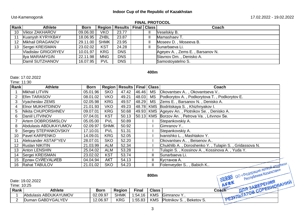# Ust-Kamenogorsk 17.02.2022 - 19.02.2022

#### **FINAL PROTOCOL**

| Rank | <b>Athlete</b>      | <b>Born</b> |             | Region   Results   Final   Class |  | Coach                           |
|------|---------------------|-------------|-------------|----------------------------------|--|---------------------------------|
| 10   | Viktor ZAKHAROV     | 09.06.00    | <b>VKO</b>  | 23.77                            |  | Veselskiy B.                    |
|      | Kuanysh KYRYKBAY    | 18.06.95    | <b>ZHBL</b> | 23.87                            |  | Mamashaev T.                    |
| 12   | Mikhail DRAGANOV    | 29.11.00    | <b>SHMK</b> | 23.95                            |  | Moseev D., Moseeva B.           |
| 13   | Sergei KREISMAN     | 23.02.02    | <b>KST</b>  | 24.28                            |  | Sunarbaeva Li.                  |
|      | Vladislav GRIGORYEV | 10.01.97    | <b>KRG</b>  | <b>DNS</b>                       |  | Ageyev A., Zems E., Barsanov N. |
|      | Ilya MARAMYGIN      | 22.11.98    | <b>MNG</b>  | <b>DNS</b>                       |  | Slavnov Dm., Denisko A.         |
|      | Damil SUTZHANOV     | 16.07.95    | <b>PVL</b>  | <b>DNS</b>                       |  | Samostoyatelno S.               |

**400m**

#### Date: 17.02.2022

Time: 11:30

| Rank | <b>Athlete</b>           | <b>Born</b> |             | Region   Results   Final   Class |             |           | Coach                                                 |
|------|--------------------------|-------------|-------------|----------------------------------|-------------|-----------|-------------------------------------------------------|
|      | Mikhail LITVIN           | 05.01.96    | <b>SKO</b>  | 47.42                            | 46.46       | <b>MS</b> | Okovantsev A., Okovantseva V.,                        |
|      | <b>Efim TARASOV</b>      | 08.01.02    | <b>VKO</b>  | 49.21                            | 48.03       | <b>MS</b> | Podkorytov A., Podkorytova T., Podkorytov E.          |
| 3    | Vyacheslav ZEMS          | 02.05.98    | <b>KRG</b>  | 49.57                            | 48.29       | MS        | Zems E., Barsanov N., Denisko A.                      |
|      | <b>EInor MUKHITDINOV</b> | 21.01.93    | <b>VKO</b>  | 49.23                            |             | 48.78 KMS | Bodritskaya S., Khizhnyakov I.                        |
| 5    | Nikita CHUPORSHNEV       | 09.07.01    | <b>KRG</b>  | 50.68                            |             |           | 49.93 KMS Ageyev An., Plotnikov Se., Denisko A.       |
| 6    | Daniil LITVINOV          | 07.04.01    | <b>KST</b>  | 50.13                            | $50.13$ KMS |           | Borzov An., Petrova Va., Litvinov Se.                 |
|      | Artem DOBROSMISLOV       | 05.05.00    | <b>PVL</b>  | 50.89                            |             |           | Stepankovskiy A.                                      |
| 8    | Abdulasis ABDUKAYUMOV    | 02.09.97    | <b>SHMK</b> | 50.92                            |             |           | Gimranov Y                                            |
| 9    | Sergey STEPANKOVSKIY     | 17.10.01    | <b>PVL</b>  | 51.31                            |             |           | Stepankovskiy A.                                      |
| 10   | Pavel KARPENKO           | 14.09.01    | <b>KRG</b>  | 52.05                            |             |           | Ivanishko L., Mashtakov Y.                            |
|      | Aleksander ASTAF"YEV     | 28.07.01    | <b>SKO</b>  | 52.20                            |             |           | Okovantsev A., Beisenov A.,                           |
| 12   | <b>Ruslan NIKITIN</b>    | 21.03.99    | ALM         | 52.34                            |             |           | Chukhlib A., Doroshenko Y., Tulapin S., Gridassova N. |
| 13   | <b>Anton LENSHIN</b>     | 25.04.02    | <b>ALM</b>  | 53.28                            |             |           | Tulapin S., Kossinov A., Kossinova A., Yuda Y.        |
| 14   | Sergei KREISMAN          | 23.02.02    | <b>KST</b>  | 53.74                            |             | Ш         | Sunarbaeva Li.                                        |
| 15   | <b>Ерлан СУЙЕУАLИЕВ</b>  | 04.04.94    | <b>AKT</b>  | 54.13                            |             | Ш         | Кустанов А.                                           |
| 16   | Rahat TABULOV            | 21.01.02    | <b>SKO</b>  | 54.23                            |             |           | Folenveyder S., Babich K                              |
|      |                          |             |             |                                  |             | 800m      | OO «Федерация легкой атлегики                         |

Date: 19.02.2022 Time: 10:25 **Rank Athlete Born Region Final Class Coach** 1 Abdulasis ABDUKAYUMOV 02.09.97 SHMK 1:54.16 KMS Gimranov Y.. 12.06.97 | KRG | 1:55.83 | KMS Plotnikov S., Beketov S.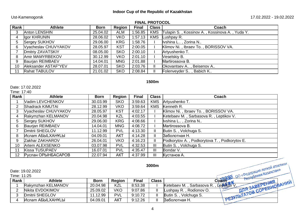# Ust-Kamenogorsk 17.02.2022 - 19.02.2022

# **FINAL PROTOCOL**

| Rank | <b>Athlete</b>       | <b>Born</b> | Region     | <b>Final</b> | <b>Class</b> | Coach                                          |
|------|----------------------|-------------|------------|--------------|--------------|------------------------------------------------|
|      | <b>Anton LENSHIN</b> | 25.04.02    | <b>ALM</b> | 1:56.85      | <b>KMS</b>   | Tulapin S., Kossinov A., Kossinova A., Yuda Y. |
|      | Igor KHRUNIN         | 28.06.02    | <b>VKO</b> | 1:57.13      | <b>KMS</b>   | Lushpay R.                                     |
|      | <b>Sergey SUKHOV</b> | 29.06.00    | <b>KRG</b> | 1:58.76      |              | Ivshina L, Zorina N                            |
| 6    | Vyacheslav CHUVYAKOV | 28.05.97    | <b>KST</b> | 2:00.05      |              | Klimov Ni., Ibraev To., BORISSOV VA.           |
|      | Dmitriy ZAVATSKIY    | 08.05.00    | <b>SKO</b> | 2:00.10      |              | Artyushenko T.                                 |
|      | Amir MAMYRBEKOV      | 30.12.99    | VKO        | 2:01.10      |              | Veselskiy B.                                   |
|      | Baurian REIMBAEV     | 14.04.01    | <b>MNG</b> | 2:01.88      |              | Martirossova B.                                |
| 10   | Aleksander ASTAF"YEV | 28.07.01    | <b>SKO</b> | 2:03.76      | Ш            | Okovantsev A., Beisenov A.,                    |
| 11   | <b>Rahat TABULOV</b> | 21.01.02    | <b>SKO</b> | 2:08.84      | II           | Folenveyder S., Babich K                       |

# **1500m**

# Date: 17.02.2022

# Time: 17:40

| Rank            | <b>Athlete</b>       | <b>Born</b> | Region     | <b>Final</b> | <b>Class</b>  | Coach                                        |
|-----------------|----------------------|-------------|------------|--------------|---------------|----------------------------------------------|
|                 | Vadim LEVCHENKOV     | 30.03.99    | <b>SKO</b> | 3:59.63      | <b>KMS</b>    | Artyushenko T.                               |
|                 | Shadrack KIMUTAI     | 28.12.99    | <b>VKO</b> | 3:59.64      | <b>KMS</b>    | Kenneth R.                                   |
| 3               | Vyacheslav CHUVYAKOV | 28.05.97    | <b>KST</b> | 4:02.17      |               | Klimov Ni., Ibraev To., BORISSOV VA.         |
| 4               | Rakymzhan KELMANOV   | 20.04.98    | <b>KZL</b> | 4:03.55      |               | Ketebaev M., Sarbasova R., Leptikov V.       |
| 5               | Sergey SUKHOV        | 29.06.00    | <b>KRG</b> | 4:08.66      |               | Ivshina L, Zorina N                          |
| 6               | Baurian REIMBAEV     | 14.04.01    | <b>MNG</b> | 4:08.72      |               | Martirossova B.                              |
|                 | Dmitrii SHEGLOV      | 11.12.99    | <b>PVL</b> | 4:13.30      | $\mathbf{I}$  | Butin S., Volchuga S.                        |
| 8               | Ислат AБЫLХAНҰLЫ     | 04.09.01    | <b>AKT</b> | 4:14.28      | $\mathbf{  }$ | Заболотная Н.                                |
| 9               | Zakhar ZAKHAROV      | 26.04.01    | <b>VKO</b> | 4:16.23      | $\mathbf{I}$  | Podkorytov A., Podkorytova T., Podkorytov E. |
| 10 <sup>°</sup> | Artem ALEXSENKO      | 03.07.98    | <b>PVL</b> | 4:32.53      | III           | Butin S., Volchuga S.                        |
| 11              | Kissa TUSUPAEV       | 16.07.01    | <b>PVL</b> | 4:35.47      | III           | Bondar V.                                    |
| 12 <sup>2</sup> | Руслан ОРЫНБАСАРОВ   | 22.07.94    | <b>AKT</b> | 4:37.99      | III           | Кустанов А.                                  |

|                     | Date: 19.02.2022   |             |            |              | 3000m        | .<br>OO «Федерация легкой атлетики                    |
|---------------------|--------------------|-------------|------------|--------------|--------------|-------------------------------------------------------|
| Time: 11:25<br>Rank | <b>Athlete</b>     | <b>Born</b> | Region     | <b>Final</b> | <b>Class</b> | Coach                                                 |
|                     | Rakymzhan KELMANOV | 20.04.98    | <b>KZL</b> | 8:53.38      |              | PESYΠЬТАТОВ СОРЕВНОВАЦИЯ<br>Ketebaev M., Sarbasova R. |
|                     | Nikita EVDOKIMOV   | 25.09.02    | VKO        | 9:07.86      | $\mathbf{I}$ | Lushpay R., Rodionov O.                               |
|                     | Dmitrii SHEGLOV    | 11.12.99    | <b>PVL</b> | 9:10.72      |              | Butin S., Volchuga S.                                 |
|                     | Ислат AБЫLХAН¥LЫ   | 04.09.01    | <b>AKT</b> | 9:12.26      |              | Заболотная Н.                                         |
|                     |                    |             |            |              |              |                                                       |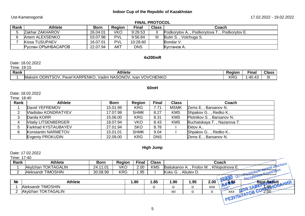# Ust-Kamenogorsk 17.02.2022 - 19.02.2022

| <b>FINAL PROTOCOL</b> |  |
|-----------------------|--|
|-----------------------|--|

| Rank | Athlete                | <b>Born</b> | <b>Region</b> | Final      | <b>Class</b> | Coach                                        |
|------|------------------------|-------------|---------------|------------|--------------|----------------------------------------------|
|      | <b>Zakhar ZAKHAROV</b> | 26.04.01    | VKO           | 9:29.53    |              | Fodkorytov A., Podkorytova T., Podkorytov E. |
|      | Artem ALEXSENKO        | 03.07.98    | <b>PVL</b>    | 9:56.84    | Ш            | Butin S., Volchuga S.                        |
|      | <b>Kissa TUSUPAEV</b>  | 16.07.01    | <b>PVL</b>    | 10:28.60   |              | Bondar V.                                    |
|      | Руслан ОРЫНБАСАРОВ     | 22.07.94    | <b>AKT</b>    | <b>DNS</b> |              | Кустанов А.                                  |

#### **4х200mR**

Date: 18.02.2022

Time: 19:15

| -<br>Rank | <b>Athlete</b>                                                                                                                           | Region         | Final      | <b>Class</b>   |
|-----------|------------------------------------------------------------------------------------------------------------------------------------------|----------------|------------|----------------|
|           | <b>VOVCHENKC</b><br>$\Lambda$ KARPFT<br><b>NASONOV</b><br>ENKO<br><b>ODIN</b><br><b>JTSOV</b><br>Vadin<br>Maksim<br>-lvar<br>Pavel<br>w. | $\sim$<br>ט חו | 711<br>TV. | $\mathbf{III}$ |

#### **60mH**

Date: 18.02.2022

Time: 18:40

| Rank | <b>Athlete</b>              | <b>Born</b> | <b>Region</b> | <b>Final</b> | <b>Class</b> | Coach                       |
|------|-----------------------------|-------------|---------------|--------------|--------------|-----------------------------|
|      | David YEFREMOV              | 15.01.99    | <b>KRG</b>    | 7.71         | <b>MSMK</b>  | Zems E., Barsanov N.        |
|      | <b>Vladislav KONDRATYEV</b> | 17.07.98    | <b>SHMK</b>   | 8.27         | <b>KMS</b>   | Shpakov G., Redko K         |
|      | Danila KORR                 | 15.06.00    | <b>KRG</b>    | 8.31         | <b>KMS</b>   | Plotnikov S., Barsanov N.   |
|      | <b>Vitaliy LITSENBERGER</b> | 18.07.94    | <b>VKO</b>    | 8.43         | <b>KMS</b>   | Buchatskaya T., Nazarova T. |
|      | Farkhad KYSTAUBAYEV         | 27.01.94    | <b>SKO</b>    | 8.78         |              | Ektov A                     |
| 6    | Konstantin NARMETOV         | 15.01.01    | <b>SHMK</b>   | 9.04         |              | Shpakov G., Redko K.,       |
|      | Evgeniy PROKUDIN            | 22.09.00    | <b>KRG</b>    | <b>DNS</b>   |              | Zems E., Barsanov N.        |

# **High Jump**

Date: 17.02.2022

Time: 17:40

| Rank | Athlete                       | Born        | Region     | Final | <b>Class</b> | Coach<br><b>TURY</b>                               |
|------|-------------------------------|-------------|------------|-------|--------------|----------------------------------------------------|
|      | <b>TOKTAGALIN</b><br>Akvizhan | 1.01<br>24. | VKO        | 2.00  | <b>KMS</b>   | Khlopotnova E.<br>Frolov M.<br>"Baitukanov A.      |
|      | <b>TIMOSHIN</b><br>Aleksandr  | 30.08.99    | <b>KRG</b> | .95   |              | Kuku<br>$\sim$ nally<br>Abulev I<br>Ka3aXClor<br>◡ |
|      |                               |             |            |       |              | <b>ARCTIVORMANY</b>                                |

| N <sub>2</sub> | <b>'hlete</b>       | .80 | 1.85 | .90 | 1.95 | 2.00       | $\overline{\mathbf{u}}$ | <b>Best Result</b> |
|----------------|---------------------|-----|------|-----|------|------------|-------------------------|--------------------|
|                | Aleksandr TIMOSHIN  |     |      |     |      | <b>XXX</b> |                         | w                  |
|                | Akylzhan TOKTAGALIN |     |      | XO  |      |            | <b>XXX</b>              | س ۔                |
|                |                     |     |      |     |      |            |                         |                    |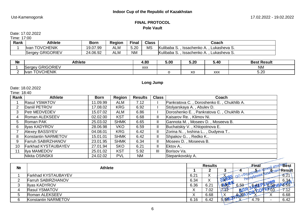# Ust-Kamenogorsk 17.02.2022 - 19.02.2022

# **FINAL PROTOCOL Pole Vault**

# Date: 17.02.2022

Time: 17:00

| Rank | <b>Athlete</b>                   | <b>Born</b> | <b>Region</b> | <b>Final</b> | <b>Class</b> | Coach                                                    |
|------|----------------------------------|-------------|---------------|--------------|--------------|----------------------------------------------------------|
|      | <b>TOVCHENIK</b><br><b>I</b> van | 19.07.99    | <b>ALM</b>    | 5.20         | <b>MS</b>    | Kulibaba<br>Lukasheva S.<br>Issachenko A                 |
|      | <b>GRIGORIEV</b><br>Sergey       | 24.06.92    | <b>ALM</b>    | <b>NM</b>    |              | Kulibaba<br>Lukasheva S.<br>Issachenko A.,<br>. <i>.</i> |

| N <sub>2</sub> | Athlete                         | 4.80       | 5.00 | 5.20               | 5.40       | <b>Result</b><br>3est |
|----------------|---------------------------------|------------|------|--------------------|------------|-----------------------|
|                | <b>GRIGORIEV</b><br>erae∨.      | <b>XXX</b> |      |                    |            | <b>NM</b>             |
|                | <b>TOVCHENIK</b><br><b>Ivar</b> |            |      | $\mathbf{v}$<br>χU | <b>XXX</b> | $-$ 00<br>ວ.∠ບ        |

# **Long Jump**

Date: 18.02.2022

| Rank           | <b>Athlete</b>             | <b>Born</b> | Region      | <b>Results</b> | <b>Class</b>  | Coach                                     |
|----------------|----------------------------|-------------|-------------|----------------|---------------|-------------------------------------------|
|                | <b>Rasul YSMATOV</b>       | 11.09.99    | ALM         | 7.12           |               | Pankratova C., Doroshenko E., Chukhlib A. |
|                | Daniil PETROV              | 17.08.02    | <b>KRG</b>  | 6.92           |               | Stolyarskaya A., Abulev D.                |
| 3 <sup>1</sup> | Petr MEDVEDEV              | 15.07.02    | ALM         | 6.86           |               | Doroshenko E., Pankratova C., Chukhlib A. |
| 4              | Roman ALEKSEEV             | 02.02.00    | <b>KST</b>  | 6.68           | Ш.            | Kaisarov Re., Klimov Ni.                  |
| 5              | Roman PAK                  | 25.03.02    | <b>SHMK</b> | 6.65           | Ш.            | Gannota M., Moseev D., Moseeva B.         |
| 6.             | <b>Ilyas KADYROV</b>       | 28.06.98    | VKO         | 6.59           | Ш.            | Buchatskiy V., Khlopotnova E.             |
|                | <b>Alexey BASSIYEV</b>     | 04.08.01    | <b>KRG</b>  | 6.42           | $\mathbf{II}$ | Zorina N, Ivshina L, Dudyeva T            |
| 8              | Konstantin NARMETOV        | 15.01.01    | <b>SHMK</b> | 6.42           | $\mathbf{II}$ | Shpakov G., Redko K                       |
| 9              | <b>Farruh SABIRZHANOV</b>  | 23.01.95    | <b>SHMK</b> | 6.34           | $\mathbf{II}$ | Moseev D., Moseeva B.                     |
| 10             | <b>Farkhad KYSTAUBAYEV</b> | 27.01.94    | <b>SKO</b>  | 6.21           | Ш.            | Ektov A                                   |
| 11             | Ilya MAMEDOV               | 25.01.02    | <b>KST</b>  | 5.92           | III           | Borisov Va.                               |
|                | Nikita OSINSKII            | 24.02.02    | <b>PVL</b>  | <b>NM</b>      |               | Stepankovskiy A.                          |

| N <sub>2</sub> | <b>Athlete</b>             |           | <b>Results</b> |             | Final | 'Best             |         |
|----------------|----------------------------|-----------|----------------|-------------|-------|-------------------|---------|
|                |                            |           |                |             |       |                   | ∤Resůlt |
|                | <b>Farkhad KYSTAUBAYEV</b> | 6.21      | $\lambda$      |             |       | <b>ENVIONAKIA</b> | 6.21    |
|                | Farruh SABIRZHANOV         | 6.34      | $\Lambda$      |             | sern  | $-111$            | 6.34    |
|                | <b>Ilvas KADYROV</b>       | 6.36      | 6.21           | <b>GASO</b> | 6.59  |                   | 6.59    |
|                | Rasul YSMATOV              | $\Lambda$ | 7.02           |             |       | .UJ               | 1 . I 4 |
|                | Roman ALEKSEEV             | v<br>⌒    | 6.68           | N           |       |                   | 6.68    |
| ଳ              | Konstantin NARMETOV        | 6.16      | 6.42           | 5.92        |       | 4.79              | 6.42    |
|                |                            |           |                |             |       |                   |         |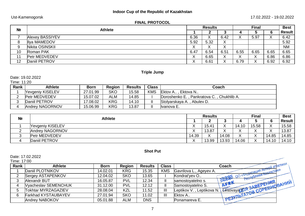# Ust-Kamenogorsk 17.02.2022 - 19.02.2022

# **FINAL PROTOCOL**

| N <sub>2</sub> | <b>Athlete</b>         |           | <b>Results</b>    |                           | <b>Final</b>   |      |           | <b>Best</b> |
|----------------|------------------------|-----------|-------------------|---------------------------|----------------|------|-----------|-------------|
|                |                        |           |                   |                           |                |      | 6         | Result      |
|                | <b>Alexey BASSIYEV</b> | 6.36      | v<br>$\sim$       | 6.42                      | v<br>$\Lambda$ | 5.97 | $\Lambda$ | 6.42        |
| 8              | Ilya MAMEDOV           | 5.92      | 5.32              | $\sqrt{}$<br>$\lambda$    |                |      |           | 5.92        |
| 9              | Nikita OSINSKII        | $\Lambda$ | $\checkmark$<br>^ | $\checkmark$<br>$\lambda$ |                |      |           | <b>NM</b>   |
| 10             | Roman PAK              | 6.47      | 6.54              | 6.51                      | 6.55           | 6.65 | 6.65      | 6.65        |
| 14             | <b>Petr MEDVEDEV</b>   | ∧         | 6.65              | $\sim$                    | $\Lambda$      | ⌒    | 6.86      | 6.86        |
| 12             | Daniil PETROV          | ∧         | 6.61              |                           | 6.79           |      | 6.92      | 6.92        |

# **Triple Jump**

# Date: 19.02.2022

#### Time: 11:20

| Rank | Athlete                 | <b>Born</b> | Region     | <b>Results</b> | <b>Class</b> | Coach                                     |
|------|-------------------------|-------------|------------|----------------|--------------|-------------------------------------------|
|      | <b>Yevgeniy KISELEV</b> | 27.01.99    | <b>SKO</b> | 15.58          | <b>KMS</b>   | Ektov A., Ektova N.,                      |
|      | <b>Petr MEDVEDEV</b>    | 15.07.02    | ALM        | 14.85          |              | Doroshenko E., Pankratova C., Chukhlib A. |
|      | Daniil PETROV           | 17.08.02    | <b>KRG</b> | 14.10          |              | Stolyarskaya A., Abuley D.                |
|      | Andrey NAGORNOV         | 15.06.99    | <b>KRG</b> | 13.87          |              | llvanova E.                               |

| N <sub>2</sub> | <b>Athlete</b>          |                           | <b>Results</b> |           | <b>Final</b> |           |                        | <b>Best</b>   |
|----------------|-------------------------|---------------------------|----------------|-----------|--------------|-----------|------------------------|---------------|
|                |                         |                           | -              |           |              |           | 6                      | <b>Result</b> |
|                | <b>Yevgeniy KISELEV</b> | $\Lambda$                 | 15.41          | $\lambda$ | 14.10        | 15.58     | $\sqrt{}$<br>$\lambda$ | 15.58         |
| <u>_</u>       | Andrey NAGORNOV         | $\Lambda$                 | 13.87          | $\lambda$ | $\lambda$    | $\lambda$ | 丷<br>$\lambda$         | 13.87         |
| ◠<br>ັ         | Petr MEDVEDEV           | 14.39                     | $\Lambda$      | 14.08     | ↗            | $\lambda$ | 14.85                  | 14.85         |
|                | Daniil PETROV           | $\checkmark$<br>$\lambda$ | 13.99          | 13.93     | 14.06        | $\lambda$ | 14.10                  | 14.10         |

# **Shot Put**

#### Date: 17.02.2022  $1 - 20$

| Time: 17:00 |                      |             |               |                |              |                                                     |
|-------------|----------------------|-------------|---------------|----------------|--------------|-----------------------------------------------------|
| Rank        | <b>Athlete</b>       | <b>Born</b> | <b>Region</b> | <b>Results</b> | <b>Class</b> | ной атлетики<br>Coach                               |
|             | Daniil PLOTNIKOV     | 14.02.01    | <b>KRG</b>    | 15.35          | <b>KMS</b>   | <b>PARALLYAR RETHURY</b><br>Gavrilova L., Ageyev A. |
|             | Sergey ASTAPENKOV    | 12.04.02    | <b>SKO</b>    | 13.65          |              | ОО «Федерация и Казахста»<br>Kondrat'vev O          |
|             | <b>Alexandr BUT</b>  | 16.05.87    | <b>PVL</b>    | 12.34          |              | <b>COMPANY</b><br>samostovatelno s.                 |
|             | Vyacheslav SEMENCHUK | 31.12.00    | <b>PVL</b>    | 12.12          |              | COPEBHOBAHIAM<br>Samostovatelno S.                  |
|             | Tokhtar MYRZAGAZIEV  | 28.08.04    | <b>KZL</b>    | 11.52          | Ш            | Leptikov V. , Leptikova N.<br><b>Eesovaya</b>       |
| ĥ           | Farkhad KYSTAUBAYEV  | 27.01.94    | <b>SKO</b>    | 11.02          | Ш            | Ektov A<br>PESYMb                                   |
|             | Andrey NABOKOV       | 05.01.88    | <b>ALM</b>    | <b>DNS</b>     |              | Ponamareva E.                                       |

 $\sqrt{2}$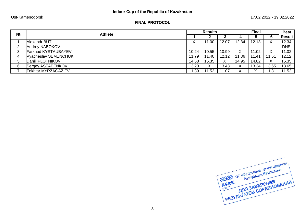# Ust-Kamenogorsk 17.02.2022 - 19.02.2022

# **FINAL PROTOCOL**

| N <sub>2</sub> | <b>Athlete</b>             |       | <b>Results</b> |       | <b>Final</b>              |       |       | <b>Best</b>   |
|----------------|----------------------------|-------|----------------|-------|---------------------------|-------|-------|---------------|
|                |                            |       |                |       |                           | ა     | 6     | <b>Result</b> |
|                | Alexandr BUT               | ∧     | .00            | 12.07 | 12.34                     | 12.13 | ∧     | 12.34         |
| ◠              | Andrey NABOKOV             |       |                |       |                           |       |       | <b>DNS</b>    |
| ◠<br>J         | <b>Farkhad KYSTAUBAYEV</b> | 10.24 | 10.55          | 10.99 | X                         | 11.02 |       | 11.02         |
| 4              | Vyacheslav SEMENCHUK       | 11.79 | 11.40          | 12.12 | 1.36                      | 11.41 | 1.51  | 12.12         |
| 5              | Daniil PLOTNIKOV           | 14.58 | 15.35          | X     | 14.95                     | 14.82 | X     | 15.35         |
| 6              | Sergey ASTAPENKOV          | 13.20 | v<br>∧         | 13.43 | X                         | 13.34 | 13.65 | 13.65         |
|                | <b>Tokhtar MYRZAGAZIEV</b> | 11.39 | .52<br>11      | 11.07 | $\checkmark$<br>$\lambda$ | X     | 1.31  | 11.52         |

**AFRICO «DEAEPALIVIA AETKON ATALEMENT DO «DEAEPALIVIA AETKON ATALEMENT DEAFTAIREMENT DEAFTAIREMENT DEAFTAIREMENT DEAFTAIREMENT DEAFTAIREMENT DEAFTAIREMENT DEAFTAIREMENT DEAFTAIREMENT DEAFTAIREMENT DEAFTAIREMENT DEAFTAIREME ДЕРИ ДЛЯ ЗАВЕРЕНИЯ**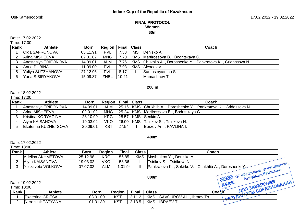## **FINAL PROTOCOL Women 60m**

Date: 17.02.2022

| Time: 17:00 |  |
|-------------|--|
|-------------|--|

| Rank | <b>Athlete</b>       | <b>Born</b> | Region   Final   Class |       |            | Coach                                                        |
|------|----------------------|-------------|------------------------|-------|------------|--------------------------------------------------------------|
|      | Olga SAFRONOVA       | 05.11.91    | <b>PVL</b>             | 7.38  | <b>MS</b>  | Denisko A.                                                   |
|      | Arina MISHEEVA       | 02.01.02    | <b>MNG</b>             | 7.70  |            | KMS Martirossova B., Bodritskaya C.                          |
|      | Anastasiya TRIFONOVA | 14.09.01    | <b>ALM</b>             | 7.76  |            | KMS Chukhlib A., Doroshenko Y., Pankratova K., Gridassova N. |
|      | Anna DUBINA          | 11.09.00    | <b>PVL</b>             | 7.93  | <b>KMS</b> | Alexeev V.                                                   |
|      | Yuliya SUTZHANOVA    | 27.12.96    | <b>PVL</b>             | 8.17  |            | Samostovatelno S.                                            |
|      | Yana SIBIRYAKOVA     | 15.09.87    | <b>ZHBL</b>            | 10.21 |            | Mamashaev T.                                                 |

# **200 m**

Date: 18.02.2022

Time: 17:00

| <b>Rank</b> | <b>Athlete</b>              | <b>Born</b> | Region   Final   Class |       | <b>Coach</b>                                                           |
|-------------|-----------------------------|-------------|------------------------|-------|------------------------------------------------------------------------|
|             | Anastasiya TRIFONOVA        | 14.09.01    | ALM                    |       | 25.16   KMS   Chukhlib A., Doroshenko Y., Pankratova K., Gridassova N. |
|             | Arina MISHEEVA              | 02.01.02    | <b>MNG</b>             |       | 25.24   KMS   Martirossova B., Bodritskaya C.                          |
|             | Kristina KORYAGINA          | 28.10.99    | <b>KRG</b>             |       | 25.57   KMS   Senkin A.                                                |
|             | Aiym KAISANOVA              | 19.03.02    | <b>VKO</b>             |       | [26.00] KMS Tsirikov S., Tsirikova N.                                  |
|             | <b>Ekaterina KUZNETSOVA</b> | 20.09.01    | <b>KST</b>             | 27.54 | Borzov An., PAVLINA I.                                                 |

#### **400m**

Date: 17.02.2022

Time: 18:00

| Rank        | <b>Athlete</b>     | <b>Born</b> | Region | <b>Final</b> | <b>Class</b> | Coach                                                                            |  |
|-------------|--------------------|-------------|--------|--------------|--------------|----------------------------------------------------------------------------------|--|
|             | Adelina AKHMETOVA  | 25.12.98    | KRG    | 56.85        | <b>KMS</b>   | Denisko A.<br>Mashtakov Y                                                        |  |
| ◠           | Aiym KAISANOVA     | 19.03.02    | VKO    | 58.36        |              | Tsirikov S., Tsirikova N.                                                        |  |
|             | Yelizaveta VOLKOVA | 07.07.02    | ALM    | 1:01.94      | $\mathbf{I}$ | <b>MANNTSRTP NONTAIN</b><br>Pankratova K., Sokirko V., Chukhlib A., Doroshenki Y |  |
|             |                    |             |        |              |              | OO «Федерация лении<br>Республики Казахстан»<br>800m                             |  |
| Time: 10:00 | Date: 19.02.2022   |             |        |              |              | OPEBHOBAHIMM<br><b>AFRY</b><br>and 3ABEPEHW.                                     |  |

| Rank | Athlete           | Born     | Region     | Fina.                                   | <b>Class</b> |                                               | <b>SOFTA</b><br>Coaċh |
|------|-------------------|----------|------------|-----------------------------------------|--------------|-----------------------------------------------|-----------------------|
|      | Ekaterina GRITSAI | 03.01.00 | <b>KST</b> | 0.11<br>$\sim$ . $\sim$<br>. <u>. .</u> | <b>KMS</b>   | <b>SAVGUROV</b><br>$'$ AL.<br>Ibraev<br>' IO. |                       |
| -    | Neroznak TATYANA  | 01.01.89 | <b>KST</b> | 0.19E<br>5. ا ب                         | <b>KMS</b>   | <b>IBRAEVT</b>                                |                       |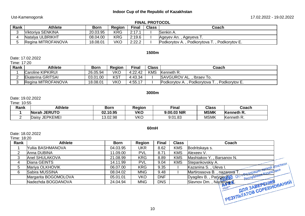# Ust-Kamenogorsk 17.02.2022 - 19.02.2022

|      |                    |             |               |              | <b>FINAL PROTOCOL</b> |                                              |
|------|--------------------|-------------|---------------|--------------|-----------------------|----------------------------------------------|
| Rank | Athlete            | <b>Born</b> | <b>Region</b> | <b>Final</b> | <b>Class</b>          | Coach                                        |
|      | Viktoriya SENKINA  | 20.03.95    | <b>KRG</b>    | 2:17.1       |                       | Senkin A.                                    |
|      | Natalya ULBRIKHT   | 08.04.00    | <b>KRG</b>    | 2:19.6       |                       | Ageyev An., Ageyeva T.                       |
|      | Regina MITROFANOVA | 18.08.01    | VKO           | 2:22.2       |                       | Podkorytov A., Podkorytova T., Podkorytov E. |

# **1500m**

## Date: 17.02.2022

#### Time: 17:20

| Rank | Athlete                  | <b>Born</b> | <b>Region</b> | <b>Final</b> | <b>Class</b> | Coach                                                       |
|------|--------------------------|-------------|---------------|--------------|--------------|-------------------------------------------------------------|
|      | Caroline KIPKIRUI        | 26.05.94    | VKO           | 4:22.42      | <b>KMS</b>   | Kenneth R.                                                  |
|      | <b>Ekaterina GRITSAI</b> | 03.01.00    | <b>KST</b>    | 4:43.34      |              | SAVGUROV AL., Ibraev To.                                    |
|      | Regina MITROFANOVA       | 18.08.01    | VKO           | 4:55.17      |              | Podkorytova T.,<br>Podkorytov E.<br><b>Podkorytov A., I</b> |

#### **3000m**

#### Date: 19.02.2022

Time: 10:55

| Rank | <b>Athlete</b>           | Born     | Reaion | --<br>Final | <b>Class</b> | Coach      |
|------|--------------------------|----------|--------|-------------|--------------|------------|
|      | <b>JERUTO</b><br>Norah   | 02.10.95 | VKO    | 9:00.03 NIR | <b>MSMK</b>  | Kenneth R. |
|      | <b>JEPKEMEI</b><br>Daisy | 13.02.98 | VKO    | 9:01.83     | <b>MSMK</b>  | Kenneth R. |

#### **60mH**

### Date: 18.02.2022

Time: 18:20

| Rank | <b>Athlete</b>       | <b>Born</b> | <b>Region</b> | <b>Final</b> | <b>Class</b> | Coach                                                       |                 |
|------|----------------------|-------------|---------------|--------------|--------------|-------------------------------------------------------------|-----------------|
|      | Yuliia BASHMANOVA    | 04.03.95    | <b>UKR</b>    | 8.62         | <b>KMS</b>   | Bodritskaya s.                                              |                 |
|      | Anna DUBINA          | 11.09.00    | <b>PVL</b>    | 8.71         | <b>KMS</b>   | Alexeev V.                                                  |                 |
|      | Anel SHULAKOVA       | 21.08.99    | <b>KRG</b>    | 8.89         | <b>KMS</b>   | Mashtakov Y., Barsanov N.                                   |                 |
|      | Diana GEINTS         | 14.11.99    | <b>PVL</b>    | 9.04         | <b>KMS</b>   | Stepankovskiy A.                                            |                 |
|      | Mariya OLKHOVIK      | 06.07.00    | <b>KRG</b>    | 9.35         |              | - Depepaunt nerkon drnernking<br>Kazanina S., Uleva I.      |                 |
|      | Sabira MUSSINA       | 08.04.02    | <b>MNG</b>    | 9.48         |              | Martirossova B., nazarova T                                 |                 |
|      | Margarita BOGOMOLOVA | 05.01.01    | <b>VKO</b>    | <b>DNF</b>   |              | <b>PECTIVONNKW</b><br>Paryginal OD "perin<br>Dyagilev B., I |                 |
|      | Nadezhda BOGDANOVA   | 24.04.94    | <b>MNG</b>    | <b>DNS</b>   |              | Slavnov Dm. , Nazarova <b>T</b><br>FOEHWY                   | <b>ORAHIAIA</b> |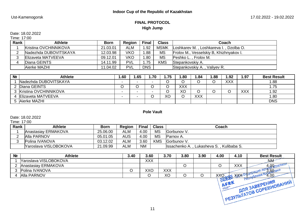# **FINAL PROTOCOL High Jump**

Date: 18.02.2022

Time: 17:00

| Rank | <b>Athlete</b>            | <b>Born</b> | <b>Region</b> | <b>Final</b> | <b>Class</b> | Coach                                   |
|------|---------------------------|-------------|---------------|--------------|--------------|-----------------------------------------|
|      | Kristina OVCHINNIKOVA     | 21.03.01    | ALM           | .92          | <b>MSMK</b>  | Loshkarev M., Loshkareva I., Dzolba O.  |
|      | Nadezhda DUBOVITSKAYA     | 12.03.98    | VKO           | .88          | <b>MS</b>    | Frolov M., Vesselskiy B, Khizhnyakov I. |
|      | <b>Elizaveta MATVEEVA</b> | 09.12.01    | VKO           | .80          | <b>MS</b>    | Peshko L., Frolov M.                    |
|      | Diana GEINTS              | 14.11.99    | <b>PVL</b>    | .75          | <b>KMS</b>   | Stepankovskiy A.                        |
|      | Aierke MAZHI              | 11.04.02    | <b>PVL</b>    | <b>DNS</b>   |              | Stepankovskiy A., Valiyev R.            |

| N <sub>2</sub> | <b>Athlete</b>        | .60 | .65    | .70                      | .75 | .80 | . .84      | . 88 | 1.92       | 1.97       | <b>Best Result</b> |
|----------------|-----------------------|-----|--------|--------------------------|-----|-----|------------|------|------------|------------|--------------------|
|                | Nadezhda DUBOVITSKAYA | -   | -      | $\overline{\phantom{0}}$ |     |     |            |      | <b>XXX</b> |            | 1.88               |
|                | Diana GEINTS          |     |        |                          |     | XXX |            |      |            |            | 1.75               |
|                | Kristina OVCHINNIKOVA | -   | $\sim$ |                          |     | XO  |            |      |            | <b>XXX</b> | 1.92               |
|                | Elizaveta MATVEEVA    |     | -      |                          | XС  |     | <b>XXX</b> |      |            |            | 1.80               |
|                | Aierke MAZHI          |     |        |                          |     |     |            |      |            |            | <b>DNS</b>         |

**Pole Vault**

Date: 18.02.2022

Time: 17:00

| Rank | <b>Athlete</b>        | <b>Born</b> | Region | <b>Final</b> | <b>Class</b> | Coach                                       |
|------|-----------------------|-------------|--------|--------------|--------------|---------------------------------------------|
|      | Anastasiay ERMAKOVA   | 25.06.00    | ALM    | 4.00         | <b>MS</b>    | Gorbunov V.                                 |
|      | Alla PARNOV           | 05.01.05    | AUS    | 4.00         | <b>MS</b>    | Parnov A.                                   |
|      | Polina IVANOVA        | 03.12.02    | ALM    | 3.60         | <b>KMS</b>   | Gorbunov V.                                 |
|      | Yaroslava VISLOBOKOVA | 21.09.99    | ALM    | <b>NM</b>    |              | Lukasheva S., Kulibaba S.<br>llssachenko A. |

| N <sub>2</sub> | <b>Athlete</b>        | 3.40 | 3.60 | 3.70 | 3.80 | 3.90 | 4.00                       | 4.10 | <b>Best Result</b>           |
|----------------|-----------------------|------|------|------|------|------|----------------------------|------|------------------------------|
|                | Yaroslava VISLOBOKOVA |      | XXX  |      |      |      |                            |      | N M                          |
|                | Anastasiay ERMAKOVA   |      |      |      |      |      |                            | XXX  | 4.0QTNPT                     |
|                | Polina IVANOVA        |      | XXC  | XXX  |      |      |                            |      | $2.60a^{\mu}$<br>$n \lambda$ |
|                | Alla PARNOV           |      |      | ХC   |      |      | <b>COLLAGE AND COMPANY</b> | XXX  | $^{164.00}$<br>noch          |

PE3VILIATOB COPEBHOBAHWY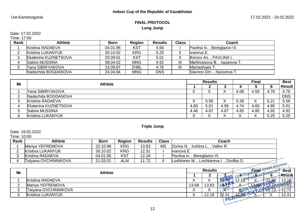# Ust-Kamenogorsk 17.02.2022 - 19.02.2022

# **FINAL PROTOCOL Long Jump**

# Date: 17.02.2022

Time: 17:00

| Rank | <b>Athlete</b>          | <b>Born</b> | <b>Region</b> | <b>Results</b> | <b>Class</b>   | Coach                        |
|------|-------------------------|-------------|---------------|----------------|----------------|------------------------------|
|      | Kristina RADAEVA        | 04.01.95    | KST           | 5.56           |                | Pavlina Iv., Bereglazov VI.  |
|      | Kristina LUKANYUK       | 30.10.02    | <b>KRG</b>    | 5.25           |                | Ilvanova E.                  |
|      | Ekaterina KUZNETSOVA    | 20.09.01    | KST           | 5.01           |                | Borzov An., PAVLINA I.       |
|      | Sabira MUSSINA          | 08.04.02    | <b>MNG</b>    | 4.92           | $\mathbf{III}$ | Martirossova B., nazarova T. |
|      | <b>Yana SIBIRYAKOVA</b> | 15.09.87    | ZHBL          | 4.76           | Ш              | Mamashaev T.                 |
|      | Nadezhda BOGDANOVA      | 24.04.94    | <b>MNG</b>    | <b>DNS</b>     |                | Slavnov Dm., Nazarova T.     |

| N <sub>2</sub> | <b>Athlete</b>           |           | <b>Results</b>            |           | <b>Final</b> |           |      | <b>Best</b> |
|----------------|--------------------------|-----------|---------------------------|-----------|--------------|-----------|------|-------------|
|                |                          |           | <b>.</b>                  | <b>N</b>  | 4            |           |      | Result i    |
|                | Yana SIBIRYAKOVA         | ∧         | $\lambda$                 | ⌒         | 4.08         | 4.59      | 4.76 | 4.76        |
|                | Nadezhda BOGDANOVA       |           |                           |           |              |           |      | <b>DNS</b>  |
|                | Kristina RADAEVA         | $\Lambda$ | 5.56                      | $\lambda$ | 5.28         | $\Lambda$ | 5.21 | 5.56        |
|                | Ekaterina KUZNETSOVA     | 4.83      | 5.01                      | 4.99      | 4.74         | 4.83      | 4.85 | 5.01        |
|                | Sabira MUSSINA           | 4.46      | 4.67                      | 4.67      | 4.65         | 4.80      | 4.92 | 4.92        |
| ิค             | <b>Kristina LUKANYUK</b> | ⌒         | $\checkmark$<br>$\lambda$ | ⌒         | $\lambda$    | $\Lambda$ | 5.25 | 5.25        |

**Triple Jump**

Date: 19.02.2022

Time: 10:00

| Rank | <b>Athlete</b>       | <b>Born</b> | <b>Region</b> | <b>Results</b> | <b>Class</b> | Coach                                       |
|------|----------------------|-------------|---------------|----------------|--------------|---------------------------------------------|
|      | Mariya YEFREMOVA     | 22.10.98    | <b>KRG</b>    | 13.83          | <b>MS</b>    | Zorina N., Ivshina L., Valiev R.            |
|      | Kristina LUKANYUK    | 30.10.02    | <b>KRG</b>    | 12.31          |              | llvanova E.                                 |
|      | Kristina RADAEVA     | 04.01.95    | <b>KST</b>    | 12.18          |              | Pavlina Iv., Bereglazov VI.                 |
|      | Tatyana OVCHINNIKOVA | 21.03.01    | ALM           | 11.72          |              | Loshkarev M., Loshkareva I.,<br>. Dzolba O. |
|      |                      |             |               |                |              | пой атлетики                                |
|      |                      |             |               |                |              | $    \sim$ $\sim$ $\sim$ $\sim$ $\sim$      |

| N <sub>2</sub> | <b>Athlete</b>           |           | <b>Results</b> |                   | 1000<br>(प्रं∩अत्र । |      |   | <b>Best</b>   |
|----------------|--------------------------|-----------|----------------|-------------------|----------------------|------|---|---------------|
|                |                          |           |                |                   |                      | - 60 |   | <b>Result</b> |
|                | Kristina RADAEVA         | $\Lambda$ | ↗              |                   |                      |      | ഹ | 12.18         |
| ⌒              | Mariya YEFREMOVA         | 13.68     | 13.83          | .18V              |                      |      |   |               |
| ົ              | Tatyana OVCHINNIKOVA     | $\lambda$ | $\Lambda$      |                   |                      |      |   |               |
|                | <b>Kristina LUKANYUK</b> | $\lambda$ | 12.18          | 12.3 <sup>4</sup> |                      |      |   | 12.31         |
|                |                          |           |                | <b>DEST</b>       |                      |      |   |               |